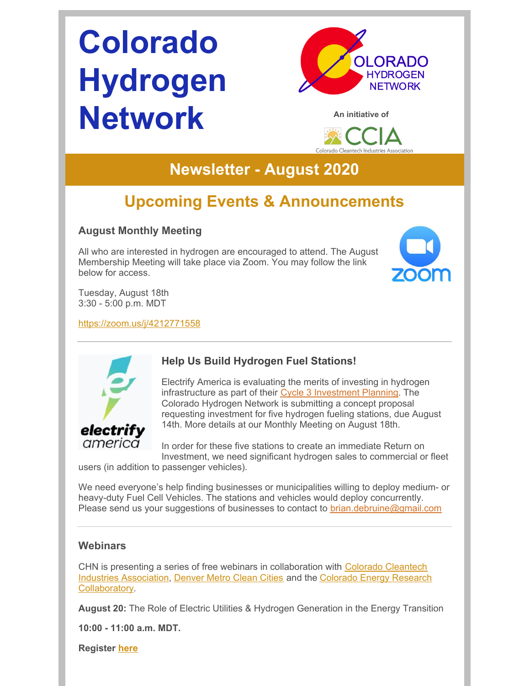# **Colorado Hydrogen Network**





## **Newsletter - August 2020**

# **Upcoming Events & Announcements**

#### **August Monthly Meeting**

All who are interested in hydrogen are encouraged to attend. The August Membership Meeting will take place via Zoom. You may follow the link below for access.



Tuesday, August 18th 3:30 - 5:00 p.m. MDT

<https://zoom.us/j/4212771558>



#### **Help Us Build Hydrogen Fuel Stations!**

Electrify America is evaluating the merits of investing in hydrogen infrastructure as part of their Cycle 3 [Investment](https://www.electrifyamerica.com/submissions/) Planning. The Colorado Hydrogen Network is submitting a concept proposal requesting investment for five hydrogen fueling stations, due August 14th. More details at our Monthly Meeting on August 18th.

In order for these five stations to create an immediate Return on Investment, we need significant hydrogen sales to commercial or fleet users (in addition to passenger vehicles).

We need everyone's help finding businesses or municipalities willing to deploy medium- or heavy-duty Fuel Cell Vehicles. The stations and vehicles would deploy concurrently. Please send us your suggestions of businesses to contact to **[brian.debruine@gmail.com](mailto:brian.debruine@gmail.com)** 

#### **Webinars**

CHN is presenting a series of free webinars in [collaboration](https://coloradocleantech.com/) with Colorado Cleantech Industries Association, [Denver](https://denvermetrocleancities.org/) Metro Clean Cities and the Colorado Energy Research [Collaboratory.](https://www.coloradocollaboratory.org/)

**August 20:** The Role of Electric Utilities & Hydrogen Generation in the Energy Transition

**10:00 - 11:00 a.m. MDT.**

**Register [here](https://cercsymposium.org/collaboratory-hosted-webinars-2020-2021/)**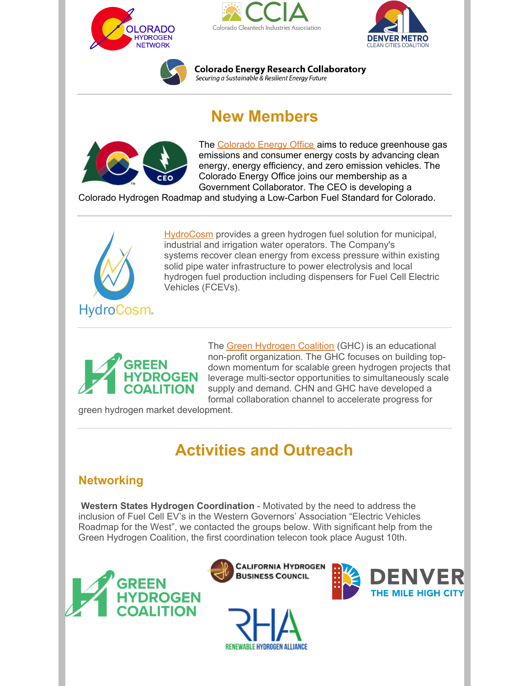







**Colorado Energy Research Collaboratory** Securing a Sustainable & Resilient Energy Future

# **New Members**



The [Colorado](https://energyoffice.colorado.gov/) Energy Office aims to reduce greenhouse gas emissions and consumer energy costs by advancing clean energy, energy efficiency, and zero emission vehicles. The Colorado Energy Office joins our membership as a Government Collaborator. The CEO is developing a

Colorado Hydrogen Roadmap and studying a Low-Carbon Fuel Standard for Colorado.



[HydroCosm](https://hydrocosm.com) provides a green hydrogen fuel solution for municipal, industrial and irrigation water operators. The Company's systems recover clean energy from excess pressure within existing solid pipe water infrastructure to power electrolysis and local hydrogen fuel production including dispensers for Fuel Cell Electric Vehicles (FCEVs).



The Green [Hydrogen](https://www.ghcoalition.org/) Coalition (GHC) is an educational non-profit organization. The GHC focuses on building topdown momentum for scalable green hydrogen projects that leverage multi-sector opportunities to simultaneously scale supply and demand. CHN and GHC have developed a formal collaboration channel to accelerate progress for

green hydrogen market development.

# **Activities and Outreach**

#### **Networking**

**Western States Hydrogen Coordination** - Motivated by the need to address the inclusion of Fuel Cell EV's in the Western Governors' Association "Electric Vehicles Roadmap for the West", we contacted the groups below. With significant help from the Green Hydrogen Coalition, the first coordination telecon took place August 10th.







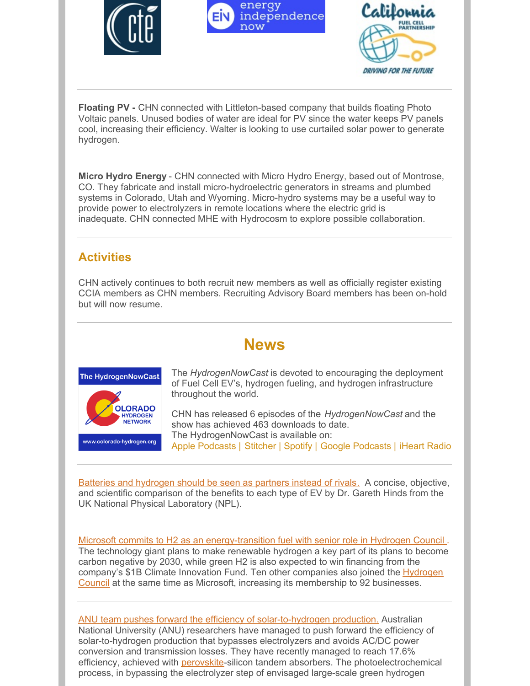





**Floating PV -** CHN connected with Littleton-based company that builds floating Photo Voltaic panels. Unused bodies of water are ideal for PV since the water keeps PV panels cool, increasing their efficiency. Walter is looking to use curtailed solar power to generate hydrogen.

**Micro Hydro Energy** - CHN connected with Micro Hydro Energy, based out of Montrose, CO. They fabricate and install micro-hydroelectric generators in streams and plumbed systems in Colorado, Utah and Wyoming. Micro-hydro systems may be a useful way to provide power to electrolyzers in remote locations where the electric grid is inadequate. CHN connected MHE with Hydrocosm to explore possible collaboration.

#### **Activities**

CHN actively continues to both recruit new members as well as officially register existing CCIA members as CHN members. Recruiting Advisory Board members has been on-hold but will now resume.

### **News**



The *HydrogenNowCast* is devoted to encouraging the deployment of Fuel Cell EV's, hydrogen fueling, and hydrogen infrastructure throughout the world.

CHN has released 6 episodes of the *HydrogenNowCast* and the show has achieved 463 downloads to date. The HydrogenNowCast is available on: Apple [Podcasts](https://podcasts.apple.com/us/podcast/hydrogennowcast/id1515826648) | [Stitcher](https://www.stitcher.com/s?fid=540617&refid=stpr) | [Spotify](https://open.spotify.com/show/0XkWjfWalLRK7Cd59w6vmU) | Google [Podcasts](https://podcasts.google.com/?feed=aHR0cHM6Ly9mZWVkcy5idXp6c3Byb3V0LmNvbS8xMTE3OTAxLnJzcw) | [iHeart](https://www.iheart.com/podcast/269-hydrogennowcast-65253432/) Radio

Batteries and [hydrogen](https://www.theengineer.co.uk/batteries-and-hydrogen-competing-npl/) should be seen as partners instead of rivals. A concise, objective, and scientific comparison of the benefits to each type of EV by Dr. Gareth Hinds from the UK National Physical Laboratory (NPL).

Microsoft commits to H2 as an [energy-transition](https://www.rechargenews.com/transition/microsoft-commits-to-h2-as-an-energy-transition-fuel-with-senior-role-in-hydrogen-council/2-1-848449) fuel with senior role in Hydrogen Council . The technology giant plans to make renewable hydrogen a key part of its plans to become carbon negative by 2030, while green H2 is also expected to win financing from the company's \$1B Climate Innovation Fund. Ten other companies also joined the Hydrogen Council at the same time as Microsoft, increasing its [membership](https://hydrogencouncil.com/en/) to 92 businesses.

ANU team pushes forward the efficiency of [solar-to-hydrogen](https://www.perovskite-info.com/anu-team-pushes-forward-efficiency-solar-hydrogen-production) production. Australian National University (ANU) researchers have managed to push forward the efficiency of solar-to-hydrogen production that bypasses electrolyzers and avoids AC/DC power conversion and transmission losses. They have recently managed to reach 17.6% efficiency, achieved with **[perovskite](https://en.wikipedia.org/wiki/Perovskite_(structure))-silicon tandem absorbers**. The photoelectrochemical process, in bypassing the electrolyzer step of envisaged large-scale green hydrogen